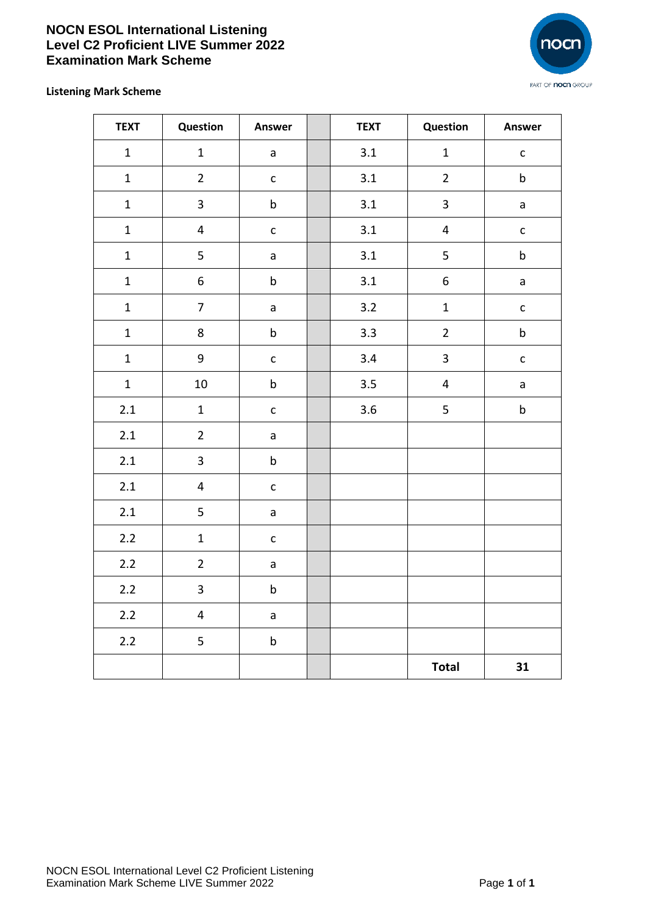## **NOCN ESOL International Listening Level C2 Proficient LIVE Summer 2022 Examination Mark Scheme**



**Listening Mark Scheme**

| <b>TEXT</b>  | Question         | Answer       | <b>TEXT</b> | Question                | Answer       |
|--------------|------------------|--------------|-------------|-------------------------|--------------|
| $\mathbf 1$  | $\mathbf{1}$     | a            | 3.1         | $\mathbf{1}$            | $\mathsf{C}$ |
| $\mathbf{1}$ | $\overline{2}$   | $\mathsf{C}$ | 3.1         | $\overline{2}$          | $\sf b$      |
| $\mathbf 1$  | $\overline{3}$   | $\sf b$      | 3.1         | $\overline{\mathbf{3}}$ | $\mathsf{a}$ |
| $\mathbf 1$  | $\overline{4}$   | $\mathsf{C}$ | 3.1         | $\overline{\mathbf{4}}$ | $\mathsf{C}$ |
| $\mathbf 1$  | 5                | $\mathsf{a}$ | 3.1         | 5                       | $\sf b$      |
| $\mathbf 1$  | $\boldsymbol{6}$ | $\sf b$      | $3.1$       | $\boldsymbol{6}$        | $\mathsf{a}$ |
| $\mathbf 1$  | $\overline{7}$   | $\mathsf{a}$ | 3.2         | $\mathbf{1}$            | $\mathsf{C}$ |
| $\mathbf{1}$ | 8                | $\sf b$      | 3.3         | $\overline{2}$          | $\sf b$      |
| $\mathbf{1}$ | 9                | $\mathsf{c}$ | 3.4         | $\overline{\mathbf{3}}$ | $\mathsf{C}$ |
| $\mathbf 1$  | 10               | $\sf b$      | 3.5         | $\overline{\mathbf{4}}$ | $\mathsf a$  |
| $2.1$        | $\mathbf 1$      | $\mathsf{C}$ | 3.6         | 5                       | $\sf b$      |
| 2.1          | $\overline{2}$   | $\mathsf{a}$ |             |                         |              |
| 2.1          | $\overline{3}$   | $\sf b$      |             |                         |              |
| $2.1$        | $\overline{4}$   | $\mathsf{C}$ |             |                         |              |
| $2.1\,$      | 5                | $\mathsf{a}$ |             |                         |              |
| $2.2$        | $\mathbf{1}$     | $\mathsf{C}$ |             |                         |              |
| $2.2\,$      | $\overline{2}$   | $\mathsf{a}$ |             |                         |              |
| $2.2$        | 3                | $\sf b$      |             |                         |              |
| $2.2$        | $\overline{4}$   | $\mathsf{a}$ |             |                         |              |
| $2.2$        | 5                | $\sf b$      |             |                         |              |
|              |                  |              |             | <b>Total</b>            | 31           |